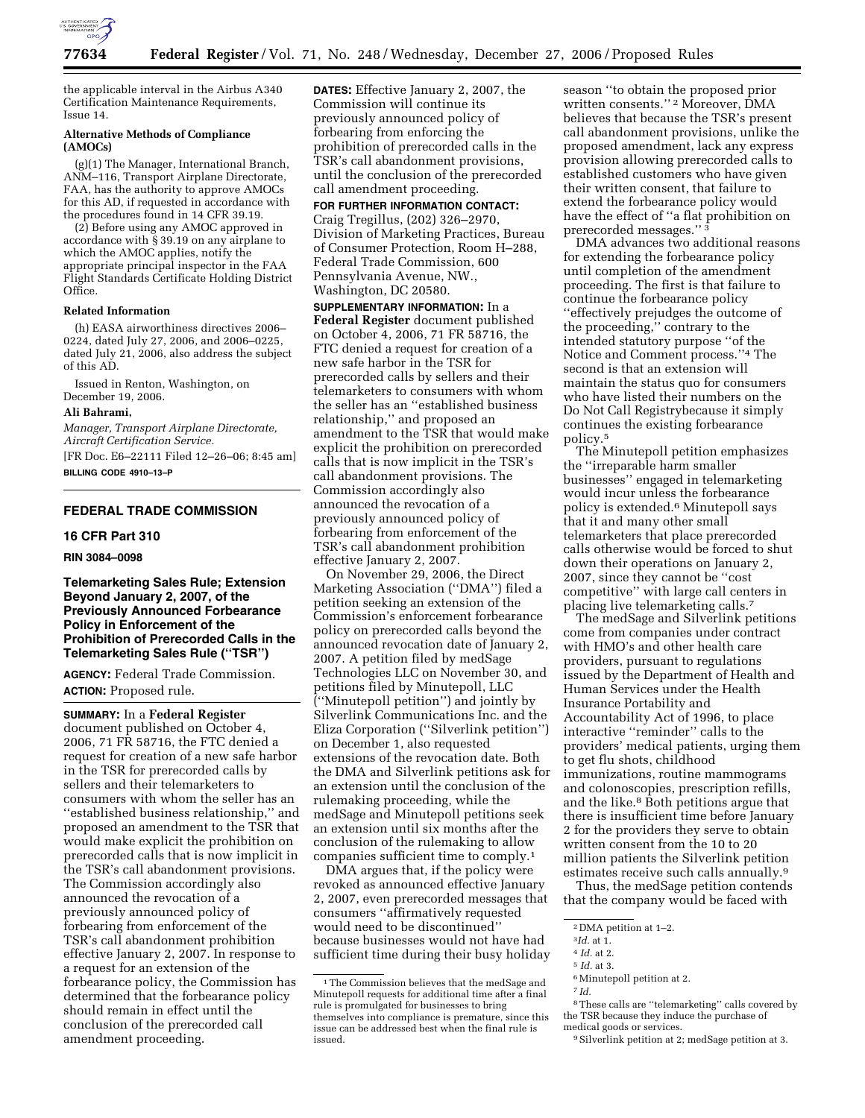

Issue 14.

the applicable interval in the Airbus A340 Certification Maintenance Requirements,

### **Alternative Methods of Compliance (AMOCs)**

(g)(1) The Manager, International Branch, ANM–116, Transport Airplane Directorate, FAA, has the authority to approve AMOCs for this AD, if requested in accordance with the procedures found in 14 CFR 39.19.

(2) Before using any AMOC approved in accordance with § 39.19 on any airplane to which the AMOC applies, notify the appropriate principal inspector in the FAA Flight Standards Certificate Holding District Office.

### **Related Information**

(h) EASA airworthiness directives 2006– 0224, dated July 27, 2006, and 2006–0225, dated July 21, 2006, also address the subject of this AD.

Issued in Renton, Washington, on December 19, 2006.

### **Ali Bahrami,**

*Manager, Transport Airplane Directorate, Aircraft Certification Service.* 

[FR Doc. E6–22111 Filed 12–26–06; 8:45 am] **BILLING CODE 4910–13–P** 

## **FEDERAL TRADE COMMISSION**

# **16 CFR Part 310**

**RIN 3084–0098** 

**Telemarketing Sales Rule; Extension Beyond January 2, 2007, of the Previously Announced Forbearance Policy in Enforcement of the Prohibition of Prerecorded Calls in the Telemarketing Sales Rule (''TSR'')** 

**AGENCY:** Federal Trade Commission. **ACTION:** Proposed rule.

**SUMMARY:** In a **Federal Register**  document published on October 4, 2006, 71 FR 58716, the FTC denied a request for creation of a new safe harbor in the TSR for prerecorded calls by sellers and their telemarketers to consumers with whom the seller has an ''established business relationship,'' and proposed an amendment to the TSR that would make explicit the prohibition on prerecorded calls that is now implicit in the TSR's call abandonment provisions. The Commission accordingly also announced the revocation of a previously announced policy of forbearing from enforcement of the TSR's call abandonment prohibition effective January 2, 2007. In response to a request for an extension of the forbearance policy, the Commission has determined that the forbearance policy should remain in effect until the conclusion of the prerecorded call amendment proceeding.

**DATES:** Effective January 2, 2007, the Commission will continue its previously announced policy of forbearing from enforcing the prohibition of prerecorded calls in the TSR's call abandonment provisions, until the conclusion of the prerecorded call amendment proceeding.

**FOR FURTHER INFORMATION CONTACT:** 

Craig Tregillus, (202) 326–2970, Division of Marketing Practices, Bureau of Consumer Protection, Room H–288, Federal Trade Commission, 600 Pennsylvania Avenue, NW., Washington, DC 20580.

**SUPPLEMENTARY INFORMATION:** In a **Federal Register** document published on October 4, 2006, 71 FR 58716, the FTC denied a request for creation of a new safe harbor in the TSR for prerecorded calls by sellers and their telemarketers to consumers with whom the seller has an ''established business relationship,'' and proposed an amendment to the TSR that would make explicit the prohibition on prerecorded calls that is now implicit in the TSR's call abandonment provisions. The Commission accordingly also announced the revocation of a previously announced policy of forbearing from enforcement of the TSR's call abandonment prohibition effective January 2, 2007.

On November 29, 2006, the Direct Marketing Association (''DMA'') filed a petition seeking an extension of the Commission's enforcement forbearance policy on prerecorded calls beyond the announced revocation date of January 2, 2007. A petition filed by medSage Technologies LLC on November 30, and petitions filed by Minutepoll, LLC (''Minutepoll petition'') and jointly by Silverlink Communications Inc. and the Eliza Corporation (''Silverlink petition'') on December 1, also requested extensions of the revocation date. Both the DMA and Silverlink petitions ask for an extension until the conclusion of the rulemaking proceeding, while the medSage and Minutepoll petitions seek an extension until six months after the conclusion of the rulemaking to allow companies sufficient time to comply.1

DMA argues that, if the policy were revoked as announced effective January 2, 2007, even prerecorded messages that consumers ''affirmatively requested would need to be discontinued'' because businesses would not have had sufficient time during their busy holiday season ''to obtain the proposed prior written consents.'' 2 Moreover, DMA believes that because the TSR's present call abandonment provisions, unlike the proposed amendment, lack any express provision allowing prerecorded calls to established customers who have given their written consent, that failure to extend the forbearance policy would have the effect of ''a flat prohibition on prerecorded messages.'' 3

DMA advances two additional reasons for extending the forbearance policy until completion of the amendment proceeding. The first is that failure to continue the forbearance policy ''effectively prejudges the outcome of the proceeding,'' contrary to the intended statutory purpose ''of the Notice and Comment process.''4 The second is that an extension will maintain the status quo for consumers who have listed their numbers on the Do Not Call Registrybecause it simply continues the existing forbearance policy.5

The Minutepoll petition emphasizes the ''irreparable harm smaller businesses'' engaged in telemarketing would incur unless the forbearance policy is extended.6 Minutepoll says that it and many other small telemarketers that place prerecorded calls otherwise would be forced to shut down their operations on January 2, 2007, since they cannot be ''cost competitive'' with large call centers in placing live telemarketing calls.7

The medSage and Silverlink petitions come from companies under contract with HMO's and other health care providers, pursuant to regulations issued by the Department of Health and Human Services under the Health Insurance Portability and Accountability Act of 1996, to place interactive ''reminder'' calls to the providers' medical patients, urging them to get flu shots, childhood immunizations, routine mammograms and colonoscopies, prescription refills, and the like.8 Both petitions argue that there is insufficient time before January 2 for the providers they serve to obtain written consent from the 10 to 20 million patients the Silverlink petition estimates receive such calls annually.9

Thus, the medSage petition contends that the company would be faced with

8These calls are ''telemarketing'' calls covered by the TSR because they induce the purchase of medical goods or services.

<sup>&</sup>lt;sup>1</sup>The Commission believes that the medSage and Minutepoll requests for additional time after a final rule is promulgated for businesses to bring themselves into compliance is premature, since this issue can be addressed best when the final rule is issued.

<sup>2</sup> DMA petition at 1–2.

<sup>3</sup>*Id.* at 1.

<sup>4</sup> *Id.* at 2.

<sup>5</sup> *Id.* at 3. <sup>6</sup> Minutepoll petition at 2.

<sup>7</sup> *Id*.

<sup>9</sup>Silverlink petition at 2; medSage petition at 3.